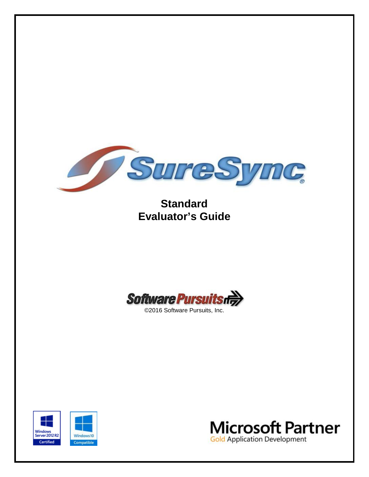

# **Standard Evaluator's Guide**





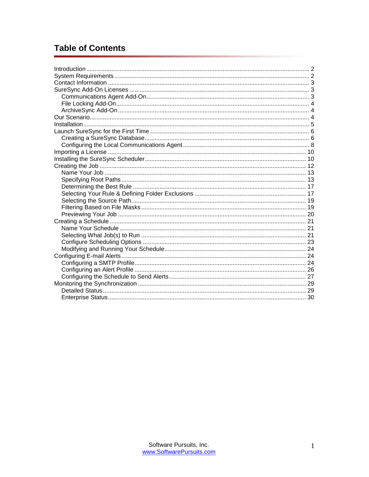# **Table of Contents**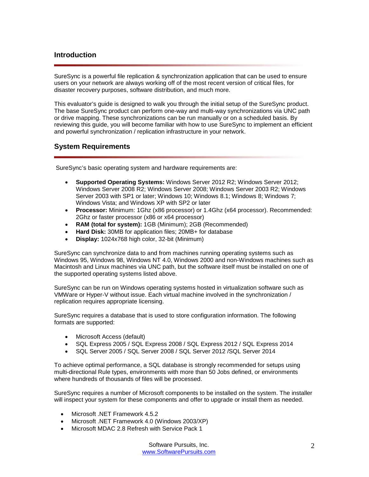# <span id="page-2-0"></span>**Introduction**

SureSync is a powerful file replication & synchronization application that can be used to ensure users on your network are always working off of the most recent version of critical files, for disaster recovery purposes, software distribution, and much more.

This evaluator's guide is designed to walk you through the initial setup of the SureSync product. The base SureSync product can perform one-way and multi-way synchronizations via UNC path or drive mapping. These synchronizations can be run manually or on a scheduled basis. By reviewing this guide, you will become familiar with how to use SureSync to implement an efficient and powerful synchronization / replication infrastructure in your network.

# <span id="page-2-1"></span>**System Requirements**

SureSync's basic operating system and hardware requirements are:

- **Supported Operating Systems:** Windows Server 2012 R2; Windows Server 2012; Windows Server 2008 R2; Windows Server 2008; Windows Server 2003 R2; Windows Server 2003 with SP1 or later; Windows 10; Windows 8.1; Windows 8; Windows 7; Windows Vista; and Windows XP with SP2 or later
- **Processor:** Minimum: 1Ghz (x86 processor) or 1.4Ghz (x64 processor). Recommended: 2Ghz or faster processor (x86 or x64 processor)
- **RAM (total for system):** 1GB (Minimum); 2GB (Recommended)
- **Hard Disk:** 30MB for application files; 20MB+ for database
- **Display:** 1024x768 high color, 32-bit (Minimum)

SureSync can synchronize data to and from machines running operating systems such as Windows 95, Windows 98, Windows NT 4.0, Windows 2000 and non-Windows machines such as Macintosh and Linux machines via UNC path, but the software itself must be installed on one of the supported operating systems listed above.

SureSync can be run on Windows operating systems hosted in virtualization software such as VMWare or Hyper-V without issue. Each virtual machine involved in the synchronization / replication requires appropriate licensing.

SureSync requires a database that is used to store configuration information. The following formats are supported:

- Microsoft Access (default)
- SQL Express 2005 / SQL Express 2008 / SQL Express 2012 / SQL Express 2014
- SQL Server 2005 / SQL Server 2008 / SQL Server 2012 /SQL Server 2014

To achieve optimal performance, a SQL database is strongly recommended for setups using multi-directional Rule types, environments with more than 50 Jobs defined, or environments where hundreds of thousands of files will be processed.

SureSync requires a number of Microsoft components to be installed on the system. The installer will inspect your system for these components and offer to upgrade or install them as needed.

- Microsoft .NET Framework 4.5.2
- Microsoft .NET Framework 4.0 (Windows 2003/XP)
- Microsoft MDAC 2.8 Refresh with Service Pack 1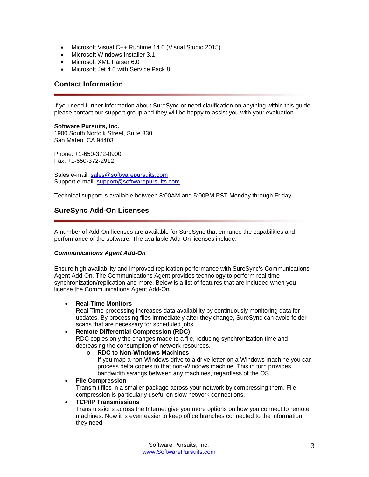- Microsoft Visual C++ Runtime 14.0 (Visual Studio 2015)
- Microsoft Windows Installer 3.1
- Microsoft XML Parser 6.0
- Microsoft Jet 4.0 with Service Pack 8

## <span id="page-3-0"></span>**Contact Information**

If you need further information about SureSync or need clarification on anything within this guide, please contact our support group and they will be happy to assist you with your evaluation.

**Software Pursuits, Inc.** 1900 South Norfolk Street, Suite 330 San Mateo, CA 94403

Phone: +1-650-372-0900 Fax: +1-650-372-2912

Sales e-mail: [sales@softwarepursuits.com](mailto:sales@softwarepursuits.com) Support e-mail: [support@softwarepursuits.com](mailto:support@softwarepursuits.com)

<span id="page-3-1"></span>Technical support is available between 8:00AM and 5:00PM PST Monday through Friday.

# **SureSync Add-On Licenses**

A number of Add-On licenses are available for SureSync that enhance the capabilities and performance of the software. The available Add-On licenses include:

#### <span id="page-3-2"></span>*Communications Agent Add-On*

Ensure high availability and improved replication performance with SureSync's Communications Agent Add-On. The Communications Agent provides technology to perform real-time synchronization/replication and more. Below is a list of features that are included when you license the Communications Agent Add-On.

#### • **Real-Time Monitors**

Real-Time processing increases data availability by continuously monitoring data for updates. By processing files immediately after they change, SureSync can avoid folder scans that are necessary for scheduled jobs.

#### • **Remote Differential Compression (RDC)**

RDC copies only the changes made to a file, reducing synchronization time and decreasing the consumption of network resources.

#### o **RDC to Non-Windows Machines**

If you map a non-Windows drive to a drive letter on a Windows machine you can process delta copies to that non-Windows machine. This in turn provides bandwidth savings between any machines, regardless of the OS.

#### • **File Compression**

Transmit files in a smaller package across your network by compressing them. File compression is particularly useful on slow network connections.

## • **TCP/IP Transmissions**

Transmissions across the Internet give you more options on how you connect to remote machines. Now it is even easier to keep office branches connected to the information they need.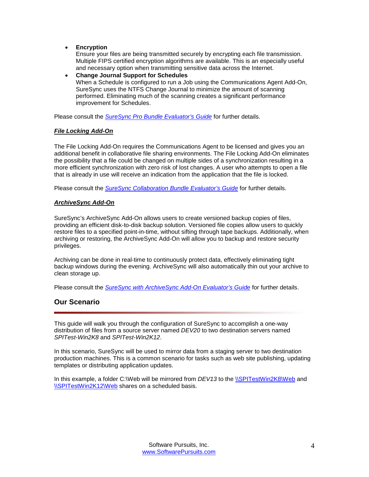• **Encryption**

Ensure your files are being transmitted securely by encrypting each file transmission. Multiple FIPS certified encryption algorithms are available. This is an especially useful and necessary option when transmitting sensitive data across the Internet.

• **Change Journal Support for Schedules** When a Schedule is configured to run a Job using the Communications Agent Add-On, SureSync uses the NTFS Change Journal to minimize the amount of scanning performed. Eliminating much of the scanning creates a significant performance improvement for Schedules.

<span id="page-4-0"></span>Please consult the *SureSync Pro Bundle [Evaluator's Guide](http://www.softwarepursuits.com/suresync/pdfs/v8/ss8_pro_evalguide.pdf)* for further details.

## *File Locking Add-On*

The File Locking Add-On requires the Communications Agent to be licensed and gives you an additional benefit in collaborative file sharing environments. The File Locking Add-On eliminates the possibility that a file could be changed on multiple sides of a synchronization resulting in a more efficient synchronization with zero risk of lost changes. A user who attempts to open a file that is already in use will receive an indication from the application that the file is locked.

<span id="page-4-1"></span>Please consult the *[SureSync Collaboration Bundle](http://www.softwarepursuits.com/suresync/pdfs/v8/ss8_collaboration_evalguide.pdf) Evaluator's Guide* for further details.

## *ArchiveSync Add-On*

SureSync's ArchiveSync Add-On allows users to create versioned backup copies of files, providing an efficient disk-to-disk backup solution. Versioned file copies allow users to quickly restore files to a specified point-in-time, without sifting through tape backups. Additionally, when archiving or restoring, the ArchiveSync Add-On will allow you to backup and restore security privileges.

Archiving can be done in real-time to continuously protect data, effectively eliminating tight backup windows during the evening. ArchiveSync will also automatically thin out your archive to clean storage up.

<span id="page-4-2"></span>Please consult the *[SureSync with ArchiveSync Add-On Evaluator's Guide](http://www.softwarepursuits.com/suresync/pdfs/v8/ss8_archivesync_evalguide.pdf)* for further details.

# **Our Scenario**

This guide will walk you through the configuration of SureSync to accomplish a one-way distribution of files from a source server named *DEV20* to two destination servers named *SPITest-Win2K8* and *SPITest-Win2K12*.

In this scenario, SureSync will be used to mirror data from a staging server to two destination production machines. This is a common scenario for tasks such as web site publishing, updating templates or distributing application updates.

In this example, a folder C:\Web will be mirrored from *DEV13* to the [\\SPITestWin2K8\Web](file://SPITestWin2K8/Web) and [\\SPITestWin2K12\Web](file://SPITestWin2K12/Web) shares on a scheduled basis.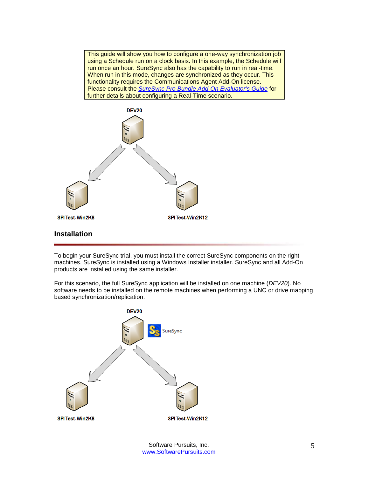This guide will show you how to configure a one-way synchronization job using a Schedule run on a clock basis. In this example, the Schedule will run once an hour. SureSync also has the capability to run in real-time. When run in this mode, changes are synchronized as they occur. This functionality requires the Communications Agent Add-On license. Please consult the *SureSync Pro Bundle [Add-On Evaluator's Guide](http://www.softwarepursuits.com/suresync/pdfs/v8/ss8_pro_evalguide.pdf)* for further details about configuring a Real-Time scenario.



<span id="page-5-0"></span>To begin your SureSync trial, you must install the correct SureSync components on the right machines. SureSync is installed using a Windows Installer installer. SureSync and all Add-On products are installed using the same installer.

For this scenario, the full SureSync application will be installed on one machine (*DEV20*). No software needs to be installed on the remote machines when performing a UNC or drive mapping based synchronization/replication.

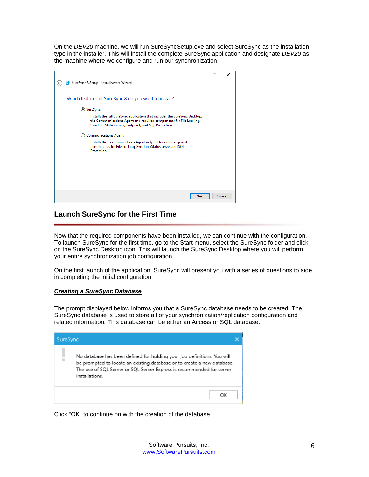On the *DEV20* machine, we will run SureSyncSetup.exe and select SureSync as the installation type in the installer. This will install the complete SureSync application and designate *DEV20* as the machine where we configure and run our synchronization.

|                                                                                                                                                                                                          |        | × |
|----------------------------------------------------------------------------------------------------------------------------------------------------------------------------------------------------------|--------|---|
| SureSync 8 Setup - InstallAware Wizard                                                                                                                                                                   |        |   |
| Which features of SureSync 8 do you want to install?                                                                                                                                                     |        |   |
| <b>◎ SureSync</b>                                                                                                                                                                                        |        |   |
| Installs the full SureSync application that includes the SureSync Desktop,<br>the Communications Agent and required components for File Locking,<br>SyncLockStatus server, Endpoint, and SQL Protection. |        |   |
| <b>Communications Agent</b>                                                                                                                                                                              |        |   |
| Installs the Communications Agent only. Includes the required<br>components for File Locking, SyncLockStatus server and SQL<br>Protection.                                                               |        |   |
|                                                                                                                                                                                                          |        |   |
|                                                                                                                                                                                                          |        |   |
|                                                                                                                                                                                                          |        |   |
|                                                                                                                                                                                                          |        |   |
| Next                                                                                                                                                                                                     | Cancel |   |

# <span id="page-6-0"></span>**Launch SureSync for the First Time**

Now that the required components have been installed, we can continue with the configuration. To launch SureSync for the first time, go to the Start menu, select the SureSync folder and click on the SureSync Desktop icon. This will launch the SureSync Desktop where you will perform your entire synchronization job configuration.

On the first launch of the application, SureSync will present you with a series of questions to aide in completing the initial configuration.

## <span id="page-6-1"></span>*Creating a SureSync Database*

The prompt displayed below informs you that a SureSync database needs to be created. The SureSync database is used to store all of your synchronization/replication configuration and related information. This database can be either an Access or SQL database.



Click "OK" to continue on with the creation of the database.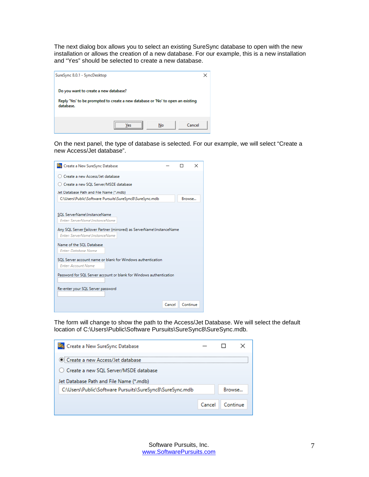The next dialog box allows you to select an existing SureSync database to open with the new installation or allows the creation of a new database. For our example, this is a new installation and "Yes" should be selected to create a new database.



On the next panel, the type of database is selected. For our example, we will select "Create a new Access/Jet database".

| Create a new Access/Jet database<br>○ Create a new SQL Server/MSDE database<br>Jet Database Path and File Name (*.mdb)<br>C:\Users\Public\Software Pursuits\SureSync8\SureSync.mdb<br>Browse<br>SOL ServerName\InstanceName<br>Enter: ServerName\InstanceName<br>Any SQL Server Failover Partner (mirrored) as ServerName\InstanceName<br>Enter: ServerName\InstanceName<br>Name of the SQL Database<br><b>Enter: Database Name</b><br>SOL Server account name or blank for Windows authentication<br><b>Enter: Account Name</b><br>Password for SQL Server account or blank for Windows authentication<br>Re-enter your SQL Server password | Sty Create a New SureSync Database |  | $\times$ |
|----------------------------------------------------------------------------------------------------------------------------------------------------------------------------------------------------------------------------------------------------------------------------------------------------------------------------------------------------------------------------------------------------------------------------------------------------------------------------------------------------------------------------------------------------------------------------------------------------------------------------------------------|------------------------------------|--|----------|
|                                                                                                                                                                                                                                                                                                                                                                                                                                                                                                                                                                                                                                              |                                    |  |          |
|                                                                                                                                                                                                                                                                                                                                                                                                                                                                                                                                                                                                                                              |                                    |  |          |
|                                                                                                                                                                                                                                                                                                                                                                                                                                                                                                                                                                                                                                              |                                    |  |          |
|                                                                                                                                                                                                                                                                                                                                                                                                                                                                                                                                                                                                                                              |                                    |  |          |
|                                                                                                                                                                                                                                                                                                                                                                                                                                                                                                                                                                                                                                              |                                    |  |          |
|                                                                                                                                                                                                                                                                                                                                                                                                                                                                                                                                                                                                                                              |                                    |  |          |
|                                                                                                                                                                                                                                                                                                                                                                                                                                                                                                                                                                                                                                              |                                    |  |          |
|                                                                                                                                                                                                                                                                                                                                                                                                                                                                                                                                                                                                                                              |                                    |  |          |
|                                                                                                                                                                                                                                                                                                                                                                                                                                                                                                                                                                                                                                              |                                    |  |          |
|                                                                                                                                                                                                                                                                                                                                                                                                                                                                                                                                                                                                                                              |                                    |  |          |
|                                                                                                                                                                                                                                                                                                                                                                                                                                                                                                                                                                                                                                              |                                    |  |          |
|                                                                                                                                                                                                                                                                                                                                                                                                                                                                                                                                                                                                                                              |                                    |  |          |
|                                                                                                                                                                                                                                                                                                                                                                                                                                                                                                                                                                                                                                              |                                    |  |          |
|                                                                                                                                                                                                                                                                                                                                                                                                                                                                                                                                                                                                                                              |                                    |  |          |
|                                                                                                                                                                                                                                                                                                                                                                                                                                                                                                                                                                                                                                              |                                    |  |          |
|                                                                                                                                                                                                                                                                                                                                                                                                                                                                                                                                                                                                                                              |                                    |  |          |
|                                                                                                                                                                                                                                                                                                                                                                                                                                                                                                                                                                                                                                              |                                    |  |          |
|                                                                                                                                                                                                                                                                                                                                                                                                                                                                                                                                                                                                                                              |                                    |  |          |
| Continue<br>Cancel                                                                                                                                                                                                                                                                                                                                                                                                                                                                                                                                                                                                                           |                                    |  |          |

The form will change to show the path to the Access/Jet Database. We will select the default location of C:\Users\Public\Software Pursuits\SureSync8\SureSync.mdb.

| St. Create a New SureSync Database                       |        |          |  |
|----------------------------------------------------------|--------|----------|--|
| Create a new Access/Jet database                         |        |          |  |
| ○ Create a new SQL Server/MSDE database                  |        |          |  |
| Jet Database Path and File Name (*.mdb)                  |        |          |  |
| C:\Users\Public\Software Pursuits\SureSync8\SureSync.mdb |        | Browse   |  |
|                                                          |        |          |  |
|                                                          | Cancel | Continue |  |
|                                                          |        |          |  |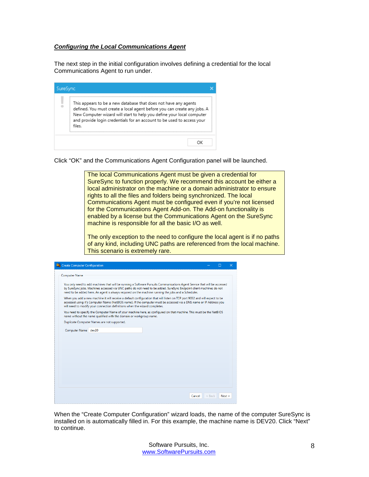## <span id="page-8-0"></span>*Configuring the Local Communications Agent*

The next step in the initial configuration involves defining a credential for the local Communications Agent to run under.

| SureSync |                                                                                                                                                                                                                                                                                                          |
|----------|----------------------------------------------------------------------------------------------------------------------------------------------------------------------------------------------------------------------------------------------------------------------------------------------------------|
|          | This appears to be a new database that does not have any agents<br>defined. You must create a local agent before you can create any jobs. A<br>New Computer wizard will start to help you define your local computer<br>and provide login credentials for an account to be used to access your<br>files. |
|          | ΩK                                                                                                                                                                                                                                                                                                       |

Click "OK" and the Communications Agent Configuration panel will be launched.



| <b>S<sub>S</sub></b> Create Computer Configuration |                                                                                                                                                                                                                                                                                                                                                         |          |        | × |
|----------------------------------------------------|---------------------------------------------------------------------------------------------------------------------------------------------------------------------------------------------------------------------------------------------------------------------------------------------------------------------------------------------------------|----------|--------|---|
| <b>Computer Name</b>                               |                                                                                                                                                                                                                                                                                                                                                         |          |        |   |
|                                                    | You only need to add machines that will be running a Software Pursuits Communications Agent Service that will be accessed<br>by SureSync jobs. Machines accessed via UNC paths do not need to be added. SureSync Endpoint client machines do not<br>need to be added here. An agent is always required on the machine running the jobs and a Scheduler. |          |        |   |
|                                                    | When you add a new machine it will receive a default configuration that will listen on TCP port 9032 and will expect to be<br>accessed using it's Computer Name (NetBIOS name). If the computer must be accessed via a DNS name or IP Address you<br>will need to modify your connection definitions when the wizard completes.                         |          |        |   |
|                                                    | You need to specify the Computer Name of your machine here, as configured on that machine. This must be the NetBIOS<br>name without the name qualified with the domain or workgroup name.                                                                                                                                                               |          |        |   |
|                                                    | Duplicate Computer Names are not supported.                                                                                                                                                                                                                                                                                                             |          |        |   |
| Computer Name dev20                                |                                                                                                                                                                                                                                                                                                                                                         |          |        |   |
|                                                    | Cancel                                                                                                                                                                                                                                                                                                                                                  | $<$ Back | Next > |   |

When the "Create Computer Configuration" wizard loads, the name of the computer SureSync is installed on is automatically filled in. For this example, the machine name is DEV20. Click "Next" to continue.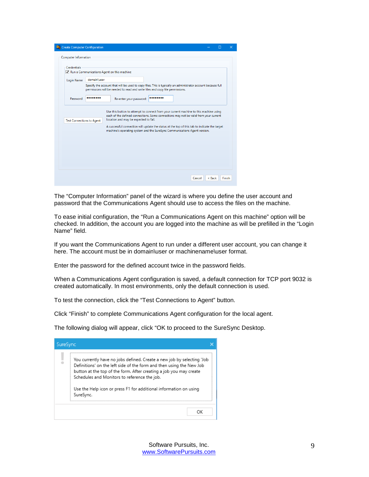| <b>Credentials</b> |                                  | Run a Communications Agent on this machine                                                                                                                                                    |
|--------------------|----------------------------------|-----------------------------------------------------------------------------------------------------------------------------------------------------------------------------------------------|
| Login Name         | domain\user                      |                                                                                                                                                                                               |
|                    |                                  | Specify the account that will be used to copy files. This is typically an administrator account because full<br>permissions will be needed to read and write files and copy file permissions. |
| Password           |                                  | Re-enter your password:                                                                                                                                                                       |
|                    | <b>Test Connections to Agent</b> | location and may be expected to fail.<br>A successful connection will update the status at the top of this tab to indicate the target                                                         |

The "Computer Information" panel of the wizard is where you define the user account and password that the Communications Agent should use to access the files on the machine.

To ease initial configuration, the "Run a Communications Agent on this machine" option will be checked. In addition, the account you are logged into the machine as will be prefilled in the "Login Name" field.

If you want the Communications Agent to run under a different user account, you can change it here. The account must be in domain\user or machinename\user format.

Enter the password for the defined account twice in the password fields.

When a Communications Agent configuration is saved, a default connection for TCP port 9032 is created automatically. In most environments, only the default connection is used.

To test the connection, click the "Test Connections to Agent" button.

Click "Finish" to complete Communications Agent configuration for the local agent.

The following dialog will appear, click "OK to proceed to the SureSync Desktop.

| SureSync |                                                                                                                                                                                                                                                                                                                                                        |  |
|----------|--------------------------------------------------------------------------------------------------------------------------------------------------------------------------------------------------------------------------------------------------------------------------------------------------------------------------------------------------------|--|
|          | You currently have no jobs defined. Create a new job by selecting 'Job<br>Definitions' on the left side of the form and then using the New Job<br>button at the top of the form. After creating a job you may create<br>Schedules and Monitors to reference the job.<br>Use the Help icon or press F1 for additional information on using<br>SureSync. |  |
|          | ΩK                                                                                                                                                                                                                                                                                                                                                     |  |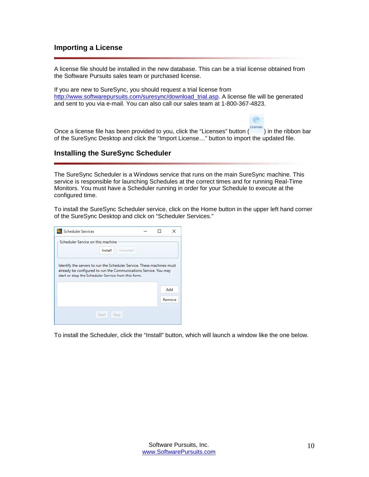# <span id="page-10-0"></span>**Importing a License**

A license file should be installed in the new database. This can be a trial license obtained from the Software Pursuits sales team or purchased license.

If you are new to SureSync, you should request a trial license from [http://www.softwarepursuits.com/suresync/download\\_trial.asp.](http://www.softwarepursuits.com/suresync/download_trial.asp) A license file will be generated and sent to you via e-mail. You can also call our sales team at 1-800-367-4823.

Once a license file has been provided to you, click the "Licenses" button (Icenses) in the ribbon bar of the SureSync Desktop and click the "Import License…" button to import the updated file.

●

# <span id="page-10-1"></span>**Installing the SureSync Scheduler**

The SureSync Scheduler is a Windows service that runs on the main SureSync machine. This service is responsible for launching Schedules at the correct times and for running Real-Time Monitors. You must have a Scheduler running in order for your Schedule to execute at the configured time.

To install the SureSync Scheduler service, click on the Home button in the upper left hand corner of the SureSync Desktop and click on "Scheduler Services."

| <b>Scheduler Services</b>                                                                                                                                                                         |        | × |
|---------------------------------------------------------------------------------------------------------------------------------------------------------------------------------------------------|--------|---|
| Scheduler Service on this machine<br>Install<br>Uninstall                                                                                                                                         |        |   |
| Identify the servers to run the Scheduler Service. These machines must<br>already be configured to run the Communications Service. You may<br>start or stop the Scheduler Service from this form. |        |   |
|                                                                                                                                                                                                   | Add    |   |
|                                                                                                                                                                                                   | Remove |   |
| Start<br>Stop                                                                                                                                                                                     |        |   |

To install the Scheduler, click the "Install" button, which will launch a window like the one below.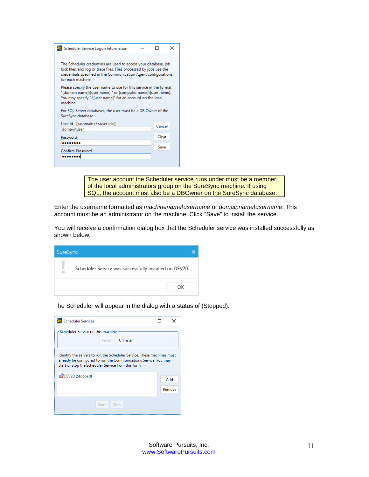| Scheduler Service Logon Information                                                                                                                                                                                            |        | × |
|--------------------------------------------------------------------------------------------------------------------------------------------------------------------------------------------------------------------------------|--------|---|
| The Scheduler credentials are used to access your database, job<br>lock files, and log or trace files. Files processed by jobs use the<br>credentials specified in the Communication Agent configurations<br>for each machine. |        |   |
| Please specify the user name to use for this service in the format<br>"[domain name]\[user name] " or [computer name]\[user name].<br>You may specify ".\Juser name]" for an account on the local<br>machine.                  |        |   |
| For SQL Server databases, the user must be a DB Owner of the<br>SureSync database.                                                                                                                                             |        |   |
| User Id [ <domain>\<user id="">]<br/>domain\user</user></domain>                                                                                                                                                               | Cancel |   |
| Password                                                                                                                                                                                                                       | Clear  |   |
| .<br>Confirm Password                                                                                                                                                                                                          | Save   |   |
|                                                                                                                                                                                                                                |        |   |

The user account the Scheduler service runs under must be a member of the local administrators group on the SureSync machine. If using SQL, the account must also be a DBOwner on the SureSync database.

Enter the username formatted as *machinename\username* or *domainname\username*. This account must be an administrator on the machine. Click "Save" to install the service.

You will receive a confirmation dialog box that the Scheduler service was installed successfully as shown below.

| SureSync |                                                        |  |
|----------|--------------------------------------------------------|--|
|          | Scheduler Service was successfully installed on DEV20. |  |
|          | ОК                                                     |  |

The Scheduler will appear in the dialog with a status of (Stopped).

| <b>Scheduler Services</b>                                                                                                                                                                         |         |           |  |  | $\times$ |  |  |
|---------------------------------------------------------------------------------------------------------------------------------------------------------------------------------------------------|---------|-----------|--|--|----------|--|--|
| Scheduler Service on this machine                                                                                                                                                                 |         |           |  |  |          |  |  |
|                                                                                                                                                                                                   | Install | Uninstall |  |  |          |  |  |
| Identify the servers to run the Scheduler Service. These machines must<br>already be configured to run the Communications Service. You may<br>start or stop the Scheduler Service from this form. |         |           |  |  |          |  |  |
| #BDEV20 (Stopped)                                                                                                                                                                                 |         |           |  |  | Add      |  |  |
|                                                                                                                                                                                                   |         |           |  |  | Remove   |  |  |
|                                                                                                                                                                                                   | Start   | Stop      |  |  |          |  |  |
|                                                                                                                                                                                                   |         |           |  |  |          |  |  |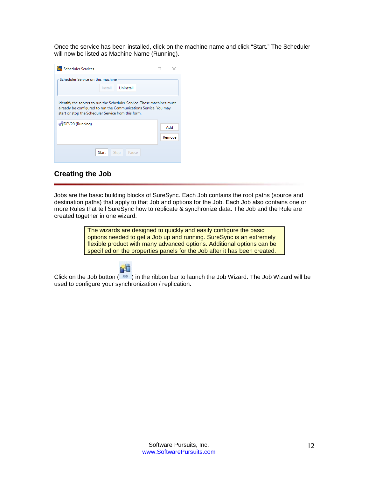Once the service has been installed, click on the machine name and click "Start." The Scheduler will now be listed as Machine Name (Running).

| <b>Scheduler Services</b>                                                                                                                                                                         |  | ×      |
|---------------------------------------------------------------------------------------------------------------------------------------------------------------------------------------------------|--|--------|
| Scheduler Service on this machine<br>Uninstall<br>Install                                                                                                                                         |  |        |
| Identify the servers to run the Scheduler Service. These machines must<br>already be configured to run the Communications Service. You may<br>start or stop the Scheduler Service from this form. |  |        |
| a DEV20 (Running)                                                                                                                                                                                 |  | Add    |
|                                                                                                                                                                                                   |  | Remove |
| <b>Start</b><br>Pause<br>Stop                                                                                                                                                                     |  |        |
|                                                                                                                                                                                                   |  |        |

# <span id="page-12-0"></span>**Creating the Job**

Jobs are the basic building blocks of SureSync. Each Job contains the root paths (source and destination paths) that apply to that Job and options for the Job. Each Job also contains one or more Rules that tell SureSync how to replicate & synchronize data. The Job and the Rule are created together in one wizard.

> The wizards are designed to quickly and easily configure the basic options needed to get a Job up and running. SureSync is an extremely flexible product with many advanced options. Additional options can be specified on the properties panels for the Job after it has been created.



Click on the Job button  $(\sqrt{10b})$  in the ribbon bar to launch the Job Wizard. The Job Wizard will be used to configure your synchronization / replication.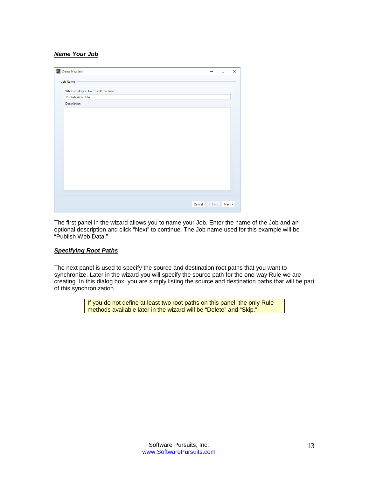## <span id="page-13-0"></span>*Name Your Job*

| Se Create New Job                     |        |          | $\Box$ | X |
|---------------------------------------|--------|----------|--------|---|
| <b>Job Name</b>                       |        |          |        |   |
| What would you like to call this Job? |        |          |        |   |
| Publish Web Data                      |        |          |        |   |
| Description                           |        |          |        |   |
|                                       |        |          |        |   |
|                                       |        |          |        |   |
|                                       |        |          |        |   |
|                                       |        |          |        |   |
|                                       |        |          |        |   |
|                                       |        |          |        |   |
|                                       |        |          |        |   |
|                                       |        |          |        |   |
|                                       |        |          |        |   |
|                                       |        |          |        |   |
|                                       |        |          |        |   |
|                                       |        |          |        |   |
|                                       |        |          |        |   |
|                                       |        |          |        |   |
|                                       | Cancel | $<$ Back | Next > |   |

The first panel in the wizard allows you to name your Job. Enter the name of the Job and an optional description and click "Next" to continue. The Job name used for this example will be "Publish Web Data."

#### <span id="page-13-1"></span>*Specifying Root Paths*

The next panel is used to specify the source and destination root paths that you want to synchronize. Later in the wizard you will specify the source path for the one-way Rule we are creating. In this dialog box, you are simply listing the source and destination paths that will be part of this synchronization.

> If you do not define at least two root paths on this panel, the only Rule methods available later in the wizard will be "Delete" and "Skip."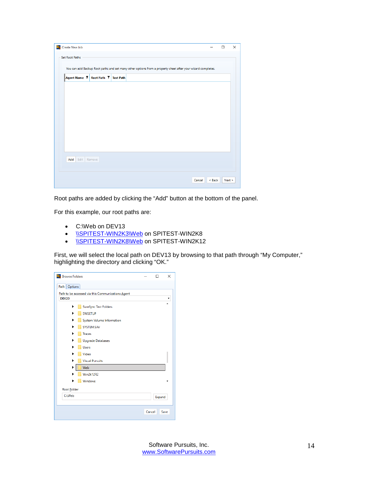| <b>Sta</b> Create New Job                                                                                   |        | $\Box$ | $\times$ |
|-------------------------------------------------------------------------------------------------------------|--------|--------|----------|
| <b>Set Root Paths</b>                                                                                       |        |        |          |
| You can add Backup Root paths and set many other options from a property sheet after your wizard completes. |        |        |          |
| Agent Name ▼ Root Path ▼ Test Path                                                                          |        |        |          |
|                                                                                                             |        |        |          |
|                                                                                                             |        |        |          |
|                                                                                                             |        |        |          |
|                                                                                                             |        |        |          |
|                                                                                                             |        |        |          |
|                                                                                                             |        |        |          |
|                                                                                                             |        |        |          |
| Add Edit Remove                                                                                             |        |        |          |
|                                                                                                             |        |        |          |
| Cancel                                                                                                      | < Back | Next > |          |
|                                                                                                             |        |        |          |

Root paths are added by clicking the "Add" button at the bottom of the panel.

For this example, our root paths are:

- C:\Web on DEV13
- **[\\SPITEST-WIN2K3\Web](file://NETTEST/Web) on SPITEST-WIN2K8**
- **[\\SPITEST-WIN2K8\Web](file://WINDOWS2008TEST/Web) on SPITEST-WIN2K12**

First, we will select the local path on DEV13 by browsing to that path through "My Computer," highlighting the directory and clicking "OK."

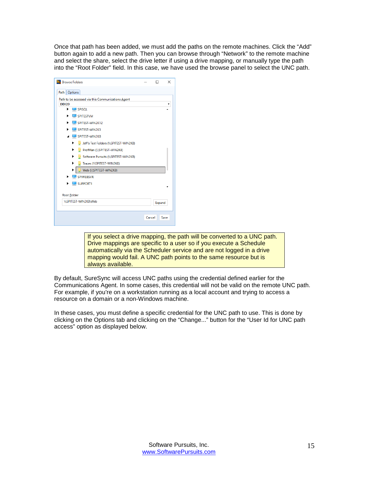Once that path has been added, we must add the paths on the remote machines. Click the "Add" button again to add a new path. Then you can browse through "Network" to the remote machine and select the share, select the drive letter if using a drive mapping, or manually type the path into the "Root Folder" field. In this case, we have used the browse panel to select the UNC path.

| <b>Ste</b> Browse Folders                         |        | п      | $\times$ |
|---------------------------------------------------|--------|--------|----------|
| Path Options                                      |        |        |          |
| Path to be accessed via this Communications Agent |        |        |          |
| <b>DEV20</b>                                      |        |        |          |
| ▶<br>$\Box$ SPISQL                                |        |        |          |
| <b>SPITESTVM</b>                                  |        |        |          |
| SPITEST-WIN2K12                                   |        |        |          |
| SPITEST-WIN2K3                                    |        |        |          |
| SPITEST-WIN2K8                                    |        |        |          |
| Jeff's Test Folders (\\SPITEST-WIN2K8)<br>▶       |        |        |          |
| ProfMan (\\SPITEST-WIN2K8)<br>٠                   |        |        |          |
| Software Pursuits (\\SPITEST-WIN2K8)<br>▶         |        |        |          |
| ▶<br>Traces (\\SPITEST-WIN2K8)                    |        |        |          |
| ▶<br>Web (\\SPITEST-WIN2K8)                       |        |        |          |
| <b>SPIWEBSVR</b>                                  |        |        |          |
| <b>SUPPORT1</b>                                   |        |        |          |
|                                                   |        |        |          |
| Root Folder                                       |        |        |          |
| \\SPITEST-WIN2K8\Web                              |        | Expand |          |
|                                                   |        |        |          |
|                                                   | Cancel | Save   |          |
|                                                   |        |        |          |
|                                                   |        |        |          |

If you select a drive mapping, the path will be converted to a UNC path. Drive mappings are specific to a user so if you execute a Schedule automatically via the Scheduler service and are not logged in a drive mapping would fail. A UNC path points to the same resource but is always available.

By default, SureSync will access UNC paths using the credential defined earlier for the Communications Agent. In some cases, this credential will not be valid on the remote UNC path. For example, if you're on a workstation running as a local account and trying to access a resource on a domain or a non-Windows machine.

In these cases, you must define a specific credential for the UNC path to use. This is done by clicking on the Options tab and clicking on the "Change..." button for the "User Id for UNC path access" option as displayed below.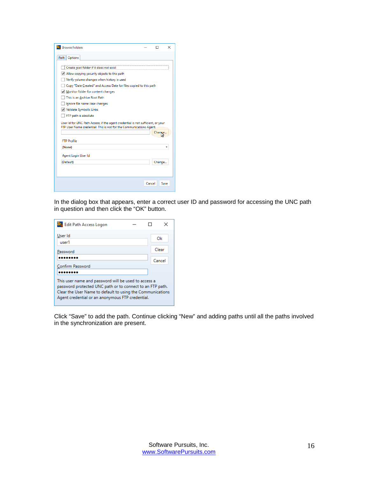| <b>Browse Folders</b>                                                                                                                                                                                                                                                                                                                                                                                                                                                                                                           |        |        | ×    |
|---------------------------------------------------------------------------------------------------------------------------------------------------------------------------------------------------------------------------------------------------------------------------------------------------------------------------------------------------------------------------------------------------------------------------------------------------------------------------------------------------------------------------------|--------|--------|------|
| Path   Options                                                                                                                                                                                                                                                                                                                                                                                                                                                                                                                  |        |        |      |
| Create root folder if it does not exist<br>Allow copying security objects to this path<br>Verify volume changes when history is used<br>Copy "Date Created" and Access Date for files copied to this path<br>Monitor folder for content changes<br>This is an Archive Root Path<br>lgnore file name case changes<br>V Validate Symbolic Links<br>FTP path is absolute<br>User Id for UNC Path Access, if the agent credential is not sufficient, or your<br>FTP User Name credential. This is not for the Communications Agent. |        |        |      |
| <b>FTP Profile</b>                                                                                                                                                                                                                                                                                                                                                                                                                                                                                                              |        |        |      |
| (None)<br>Agent Login User Id<br>(Default)                                                                                                                                                                                                                                                                                                                                                                                                                                                                                      |        | Change |      |
|                                                                                                                                                                                                                                                                                                                                                                                                                                                                                                                                 | Cancel |        | Save |

In the dialog box that appears, enter a correct user ID and password for accessing the UNC path in question and then click the "OK" button.

| Edit Path Access Logon                                                                                                                                                                                                              |        |
|-------------------------------------------------------------------------------------------------------------------------------------------------------------------------------------------------------------------------------------|--------|
| User Id<br>user1                                                                                                                                                                                                                    | Ok     |
| Password                                                                                                                                                                                                                            | Clear  |
| Confirm Password                                                                                                                                                                                                                    | Cancel |
|                                                                                                                                                                                                                                     |        |
| This user name and password will be used to access a<br>password protected UNC path or to connect to an FTP path.<br>Clear the User Name to default to using the Communications<br>Agent credential or an anonymous FTP credential. |        |

Click "Save" to add the path. Continue clicking "New" and adding paths until all the paths involved in the synchronization are present.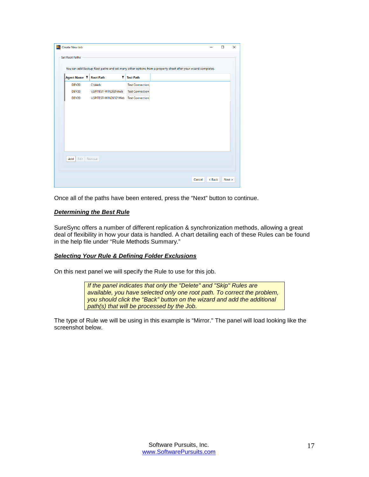| Create New Job        |                                                                                                             |                        |  |        |        | □      | $\times$ |
|-----------------------|-------------------------------------------------------------------------------------------------------------|------------------------|--|--------|--------|--------|----------|
| <b>Set Root Paths</b> |                                                                                                             |                        |  |        |        |        |          |
|                       | You can add Backup Root paths and set many other options from a property sheet after your wizard completes. |                        |  |        |        |        |          |
| Agent Name T          | <b>Root Path</b><br>$\mathbf{r}$                                                                            | <b>Test Path</b>       |  |        |        |        |          |
| DEV20                 | <b>C:\Web</b>                                                                                               | <b>Test Connection</b> |  |        |        |        |          |
| DEV20                 | \\SPITEST-WIN2K8\Web                                                                                        | <b>Test Connection</b> |  |        |        |        |          |
| DEV20                 | \\SPITEST-WIN2K12\Web Test Connection                                                                       |                        |  |        |        |        |          |
|                       |                                                                                                             |                        |  |        |        |        |          |
|                       |                                                                                                             |                        |  |        |        |        |          |
|                       |                                                                                                             |                        |  |        |        |        |          |
|                       |                                                                                                             |                        |  |        |        |        |          |
|                       |                                                                                                             |                        |  |        |        |        |          |
|                       |                                                                                                             |                        |  |        |        |        |          |
|                       |                                                                                                             |                        |  |        |        |        |          |
|                       |                                                                                                             |                        |  |        |        |        |          |
| Add<br>Edit Remove    |                                                                                                             |                        |  |        |        |        |          |
|                       |                                                                                                             |                        |  |        |        |        |          |
|                       |                                                                                                             |                        |  |        |        |        |          |
|                       |                                                                                                             |                        |  |        |        |        |          |
|                       |                                                                                                             |                        |  | Cancel | < Back | Next > |          |

<span id="page-17-0"></span>Once all of the paths have been entered, press the "Next" button to continue.

## *Determining the Best Rule*

SureSync offers a number of different replication & synchronization methods, allowing a great deal of flexibility in how your data is handled. A chart detailing each of these Rules can be found in the help file under "Rule Methods Summary."

#### <span id="page-17-1"></span>*Selecting Your Rule & Defining Folder Exclusions*

On this next panel we will specify the Rule to use for this job.

*If the panel indicates that only the "Delete" and "Skip" Rules are available, you have selected only one root path. To correct the problem, you should click the "Back" button on the wizard and add the additional path(s) that will be processed by the Job.*

The type of Rule we will be using in this example is "Mirror." The panel will load looking like the screenshot below.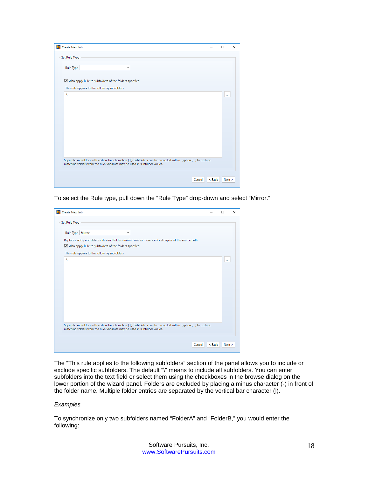| Create New Job<br>Ss.                                                                                                                                                                       | □ | $\times$ |
|---------------------------------------------------------------------------------------------------------------------------------------------------------------------------------------------|---|----------|
| Set Rule Type                                                                                                                                                                               |   |          |
| Rule Type<br>۰.                                                                                                                                                                             |   |          |
| Also apply Rule to subfolders of the folders specified                                                                                                                                      |   |          |
| This rule applies to the following subfolders                                                                                                                                               |   |          |
| Λ                                                                                                                                                                                           |   | $\cdots$ |
| Separate subfolders with vertical bar characters ( ). Subfolders can be preceded with a hyphen (-) to exclude<br>matching folders from the rule. Variables may be used in subfolder values. |   |          |
| Cancel<br>< Back                                                                                                                                                                            |   | Next >   |

To select the Rule type, pull down the "Rule Type" drop-down and select "Mirror."

| <b>Sta</b> Create New Job                                                                                                                                                                   |                  | п        | X |
|---------------------------------------------------------------------------------------------------------------------------------------------------------------------------------------------|------------------|----------|---|
| Set Rule Type                                                                                                                                                                               |                  |          |   |
| Rule Type   Mirror<br>۰                                                                                                                                                                     |                  |          |   |
| Replaces, adds, and deletes files and folders making one or more identical copies of the source path.                                                                                       |                  |          |   |
| Also apply Rule to subfolders of the folders specified                                                                                                                                      |                  |          |   |
| This rule applies to the following subfolders                                                                                                                                               |                  |          |   |
| À                                                                                                                                                                                           |                  | $\cdots$ |   |
|                                                                                                                                                                                             |                  |          |   |
|                                                                                                                                                                                             |                  |          |   |
|                                                                                                                                                                                             |                  |          |   |
|                                                                                                                                                                                             |                  |          |   |
|                                                                                                                                                                                             |                  |          |   |
|                                                                                                                                                                                             |                  |          |   |
|                                                                                                                                                                                             |                  |          |   |
|                                                                                                                                                                                             |                  |          |   |
|                                                                                                                                                                                             |                  |          |   |
| Separate subfolders with vertical bar characters ( ). Subfolders can be preceded with a hyphen (-) to exclude<br>matching folders from the rule. Variables may be used in subfolder values. |                  |          |   |
|                                                                                                                                                                                             |                  |          |   |
|                                                                                                                                                                                             |                  |          |   |
|                                                                                                                                                                                             | < Back<br>Cancel | Next     |   |

The "This rule applies to the following subfolders" section of the panel allows you to include or exclude specific subfolders. The default "\" means to include all subfolders. You can enter subfolders into the text field or select them using the checkboxes in the browse dialog on the lower portion of the wizard panel. Folders are excluded by placing a minus character (-) in front of the folder name. Multiple folder entries are separated by the vertical bar character (|).

## *Examples*

To synchronize only two subfolders named "FolderA" and "FolderB," you would enter the following: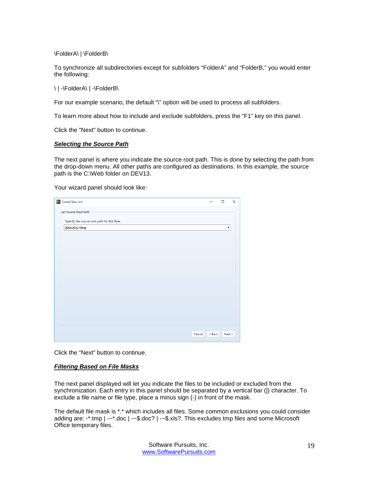\FolderA\ | \FolderB\

To synchronize all subdirectories except for subfolders "FolderA" and "FolderB," you would enter the following:

\ | -\FolderA\ | -\FolderB\

For our example scenario, the default "\" option will be used to process all subfolders.

To learn more about how to include and exclude subfolders, press the "F1" key on this panel.

<span id="page-19-0"></span>Click the "Next" button to continue.

## *Selecting the Source Path*

The next panel is where you indicate the source root path. This is done by selecting the path from the drop-down menu. All other paths are configured as destinations. In this example, the source path is the C:\Web folder on DEV13.

Your wizard panel should look like:

| S <sub>S</sub> Create New Job               |          | □      | × |
|---------------------------------------------|----------|--------|---|
| Set Source Root Path                        |          |        |   |
| Specify the source root path for this Rule. |          |        |   |
| [DEV20]C:\Web                               |          | ۰      |   |
|                                             |          |        |   |
|                                             |          |        |   |
|                                             |          |        |   |
|                                             |          |        |   |
|                                             |          |        |   |
|                                             |          |        |   |
|                                             |          |        |   |
|                                             |          |        |   |
|                                             |          |        |   |
|                                             |          |        |   |
|                                             |          |        |   |
|                                             |          |        |   |
| Cancel                                      | $<$ Back | Next > |   |

<span id="page-19-1"></span>Click the "Next" button to continue.

## *Filtering Based on File Masks*

The next panel displayed will let you indicate the files to be included or excluded from the synchronization. Each entry in this panel should be separated by a vertical bar (|) character. To exclude a file name or file type, place a minus sign (-) in front of the mask.

The default file mask is \*.\* which includes all files. Some common exclusions you could consider adding are: -\*.tmp | -~\*.doc | -~\$.doc? | -~\$.xls?. This excludes tmp files and some Microsoft Office temporary files.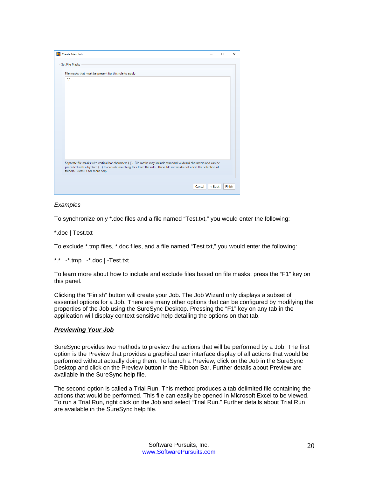

## *Examples*

To synchronize only \*.doc files and a file named "Test.txt," you would enter the following:

\*.doc | Test.txt

To exclude \*.tmp files, \*.doc files, and a file named "Test.txt," you would enter the following:

\*.\* | -\*.tmp | -\*.doc | -Test.txt

To learn more about how to include and exclude files based on file masks, press the "F1" key on this panel.

Clicking the "Finish" button will create your Job. The Job Wizard only displays a subset of essential options for a Job. There are many other options that can be configured by modifying the properties of the Job using the SureSync Desktop. Pressing the "F1" key on any tab in the application will display context sensitive help detailing the options on that tab.

#### <span id="page-20-0"></span>*Previewing Your Job*

SureSync provides two methods to preview the actions that will be performed by a Job. The first option is the Preview that provides a graphical user interface display of all actions that would be performed without actually doing them. To launch a Preview, click on the Job in the SureSync Desktop and click on the Preview button in the Ribbon Bar. Further details about Preview are available in the SureSync help file.

The second option is called a Trial Run. This method produces a tab delimited file containing the actions that would be performed. This file can easily be opened in Microsoft Excel to be viewed. To run a Trial Run, right click on the Job and select "Trial Run." Further details about Trial Run are available in the SureSync help file.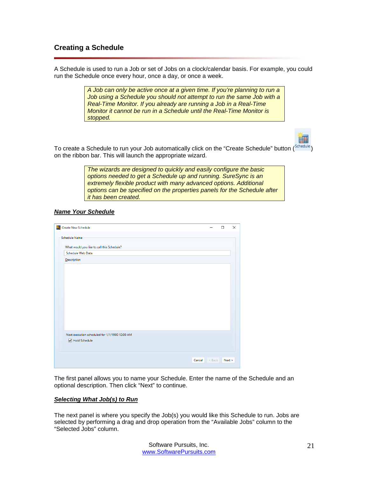# <span id="page-21-0"></span>**Creating a Schedule**

A Schedule is used to run a Job or set of Jobs on a clock/calendar basis. For example, you could run the Schedule once every hour, once a day, or once a week.

> *A Job can only be active once at a given time. If you're planning to run a Job using a Schedule you should not attempt to run the same Job with a Real-Time Monitor. If you already are running a Job in a Real-Time Monitor it cannot be run in a Schedule until the Real-Time Monitor is stopped.*



To create a Schedule to run your Job automatically click on the "Create Schedule" button (Schedule) on the ribbon bar. This will launch the appropriate wizard.

> *The wizards are designed to quickly and easily configure the basic options needed to get a Schedule up and running. SureSync is an extremely flexible product with many advanced options. Additional options can be specified on the properties panels for the Schedule after it has been created.*

## <span id="page-21-1"></span>*Name Your Schedule*

| Se Create New Schedule                         |          | □ | X      |
|------------------------------------------------|----------|---|--------|
| Schedule Name                                  |          |   |        |
| What would you like to call this Schedule?     |          |   |        |
| Schedule Web Data                              |          |   |        |
| Description                                    |          |   |        |
|                                                |          |   |        |
|                                                |          |   |        |
|                                                |          |   |        |
|                                                |          |   |        |
|                                                |          |   |        |
|                                                |          |   |        |
|                                                |          |   |        |
|                                                |          |   |        |
|                                                |          |   |        |
|                                                |          |   |        |
| Next execution scheduled for 1/1/1900 12:00 AM |          |   |        |
| <b>√</b> Hold Schedule                         |          |   |        |
|                                                |          |   |        |
|                                                |          |   |        |
| Cancel                                         | $<$ Back |   | Next > |

The first panel allows you to name your Schedule. Enter the name of the Schedule and an optional description. Then click "Next" to continue.

#### <span id="page-21-2"></span>*Selecting What Job(s) to Run*

The next panel is where you specify the Job(s) you would like this Schedule to run. Jobs are selected by performing a drag and drop operation from the "Available Jobs" column to the "Selected Jobs" column.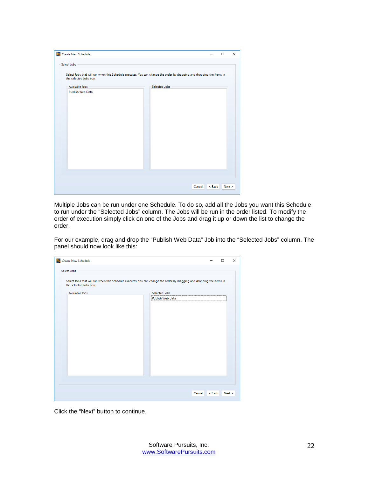| Se Create New Schedule |                                                                                                                                                 |  |               |        |        | $\Box$ | $\times$ |
|------------------------|-------------------------------------------------------------------------------------------------------------------------------------------------|--|---------------|--------|--------|--------|----------|
| Select Jobs            |                                                                                                                                                 |  |               |        |        |        |          |
|                        | Select Jobs that will run when this Schedule executes. You can change the order by dragging and dropping the items in<br>the selected Jobs box. |  |               |        |        |        |          |
|                        | Available Jobs                                                                                                                                  |  | Selected Jobs |        |        |        |          |
|                        | <b>Publish Web Data</b>                                                                                                                         |  |               |        |        |        |          |
|                        |                                                                                                                                                 |  |               |        |        |        |          |
|                        |                                                                                                                                                 |  |               | Cancel | < Back | Next > |          |

Multiple Jobs can be run under one Schedule. To do so, add all the Jobs you want this Schedule to run under the "Selected Jobs" column. The Jobs will be run in the order listed. To modify the order of execution simply click on one of the Jobs and drag it up or down the list to change the order.

For our example, drag and drop the "Publish Web Data" Job into the "Selected Jobs" column. The panel should now look like this:

| So Create New Schedule                                                                                                |                  |                  | □      |
|-----------------------------------------------------------------------------------------------------------------------|------------------|------------------|--------|
| Select Jobs                                                                                                           |                  |                  |        |
| Select Jobs that will run when this Schedule executes. You can change the order by dragging and dropping the items in |                  |                  |        |
| the selected Jobs box.                                                                                                |                  |                  |        |
| Available Jobs                                                                                                        | Selected Jobs    |                  |        |
|                                                                                                                       | Publish Web Data |                  |        |
|                                                                                                                       |                  |                  |        |
|                                                                                                                       |                  |                  |        |
|                                                                                                                       |                  |                  |        |
|                                                                                                                       |                  |                  |        |
|                                                                                                                       |                  |                  |        |
|                                                                                                                       |                  |                  |        |
|                                                                                                                       |                  |                  |        |
|                                                                                                                       |                  |                  |        |
|                                                                                                                       |                  |                  |        |
|                                                                                                                       |                  |                  |        |
|                                                                                                                       |                  |                  |        |
|                                                                                                                       |                  |                  |        |
|                                                                                                                       |                  |                  |        |
|                                                                                                                       |                  |                  |        |
|                                                                                                                       |                  |                  |        |
|                                                                                                                       |                  | Cancel<br>< Back |        |
|                                                                                                                       |                  |                  | Next > |

Click the "Next" button to continue.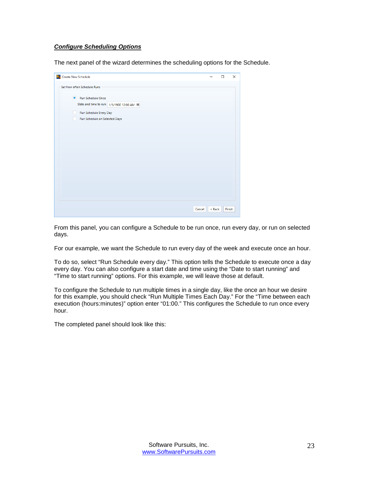## <span id="page-23-0"></span>*Configure Scheduling Options*

The next panel of the wizard determines the scheduling options for the Schedule.

| <b>Create New Schedule</b><br>Ss.                                   |        |        | □ | X      |
|---------------------------------------------------------------------|--------|--------|---|--------|
| Set how often Schedule Runs                                         |        |        |   |        |
| Run Schedule Once<br>Date and time to run: 1/1/1900 12:00 AM III    |        |        |   |        |
| Run Schedule Every Day<br>H.<br>Run Schedule on Selected Days<br>L. |        |        |   |        |
|                                                                     |        |        |   |        |
|                                                                     |        |        |   |        |
|                                                                     |        |        |   |        |
|                                                                     |        |        |   |        |
|                                                                     | Cancel | < Back |   | Finish |

From this panel, you can configure a Schedule to be run once, run every day, or run on selected days.

For our example, we want the Schedule to run every day of the week and execute once an hour.

To do so, select "Run Schedule every day." This option tells the Schedule to execute once a day every day. You can also configure a start date and time using the "Date to start running" and "Time to start running" options. For this example, we will leave those at default.

To configure the Schedule to run multiple times in a single day, like the once an hour we desire for this example, you should check "Run Multiple Times Each Day." For the "Time between each execution (hours:minutes)" option enter "01:00." This configures the Schedule to run once every hour.

The completed panel should look like this: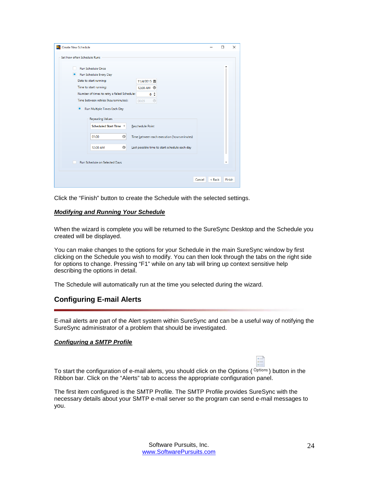| <b>Create New Schedule</b><br>Ss.                                     |                                               |                  | п | $\times$ |
|-----------------------------------------------------------------------|-----------------------------------------------|------------------|---|----------|
| Set how often Schedule Runs                                           |                                               |                  |   |          |
| <b>Run Schedule Once</b><br>Run Schedule Every Day                    |                                               |                  |   |          |
| Date to start running:                                                | 11/4/2015 団                                   |                  |   |          |
| Time to start running:<br>Number of times to retry a failed Schedule: | 12:00 AM $\odot$                              |                  |   |          |
| Time between retries (hours:minutes):                                 | 0:<br>00:05<br>$\bigoplus$                    |                  |   |          |
| ■<br>Run Multiple Times Each Day                                      |                                               |                  |   |          |
| <b>Repeating Values</b>                                               |                                               |                  |   |          |
| Scheduled Start Time ▼                                                | <b>Reschedule Point</b>                       |                  |   |          |
| $\odot$<br>01:00                                                      | Time between each execution (hours:minutes)   |                  |   |          |
| $^\circledR$<br>12:00 AM                                              | Last possible time to start schedule each day |                  |   |          |
| Run Schedule on Selected Days                                         |                                               |                  | ۰ |          |
|                                                                       |                                               | < Back<br>Cancel |   | Finish   |

<span id="page-24-0"></span>Click the "Finish" button to create the Schedule with the selected settings.

## *Modifying and Running Your Schedule*

When the wizard is complete you will be returned to the SureSync Desktop and the Schedule you created will be displayed.

You can make changes to the options for your Schedule in the main SureSync window by first clicking on the Schedule you wish to modify. You can then look through the tabs on the right side for options to change. Pressing "F1" while on any tab will bring up context sensitive help describing the options in detail.

<span id="page-24-1"></span>The Schedule will automatically run at the time you selected during the wizard.

# **Configuring E-mail Alerts**

E-mail alerts are part of the Alert system within SureSync and can be a useful way of notifying the SureSync administrator of a problem that should be investigated.

#### <span id="page-24-2"></span>*Configuring a SMTP Profile*

To start the configuration of e-mail alerts, you should click on the Options ( $\text{Options}$ ) button in the Ribbon bar. Click on the "Alerts" tab to access the appropriate configuration panel.

The first item configured is the SMTP Profile. The SMTP Profile provides SureSync with the necessary details about your SMTP e-mail server so the program can send e-mail messages to you.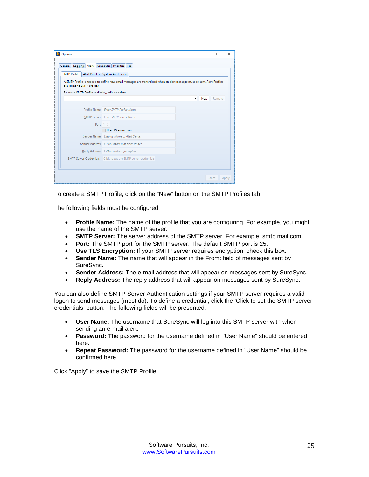| A SMTP Profile is needed to define how email messages are transmitted when an alert message must be sent. Alert Profiles |
|--------------------------------------------------------------------------------------------------------------------------|
|                                                                                                                          |
| Remove<br>New                                                                                                            |
|                                                                                                                          |
|                                                                                                                          |
|                                                                                                                          |
|                                                                                                                          |
|                                                                                                                          |
|                                                                                                                          |
|                                                                                                                          |
|                                                                                                                          |
|                                                                                                                          |

To create a SMTP Profile, click on the "New" button on the SMTP Profiles tab.

The following fields must be configured:

- **Profile Name:** The name of the profile that you are configuring. For example, you might use the name of the SMTP server.
- **SMTP Server:** The server address of the SMTP server. For example, smtp.mail.com.
- **Port:** The SMTP port for the SMTP server. The default SMTP port is 25.
- **Use TLS Encryption:** If your SMTP server requires encryption, check this box.
- **Sender Name:** The name that will appear in the From: field of messages sent by SureSync.
- **Sender Address:** The e-mail address that will appear on messages sent by SureSync.
- **Reply Address:** The reply address that will appear on messages sent by SureSync.

You can also define SMTP Server Authentication settings if your SMTP server requires a valid logon to send messages (most do). To define a credential, click the 'Click to set the SMTP server credentials' button. The following fields will be presented:

- **User Name:** The username that SureSync will log into this SMTP server with when sending an e-mail alert.
- **Password:** The password for the username defined in "User Name" should be entered here.
- **Repeat Password:** The password for the username defined in "User Name" should be confirmed here.

Click "Apply" to save the SMTP Profile.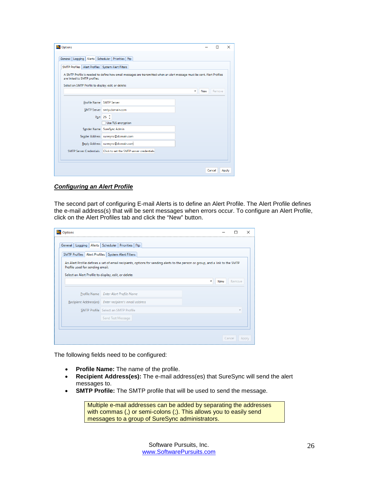| Ss.<br>Options                                            |                                                                                                                          |   |     | п      | X     |
|-----------------------------------------------------------|--------------------------------------------------------------------------------------------------------------------------|---|-----|--------|-------|
| General   Logging   Alerts   Scheduler   Priorities   Ftp |                                                                                                                          |   |     |        |       |
| SMTP Profiles   Alert Profiles   System Alert Filters     |                                                                                                                          |   |     |        |       |
| are linked to SMTP profiles.                              | A SMTP Profile is needed to define how email messages are transmitted when an alert message must be sent. Alert Profiles |   |     |        |       |
| Select an SMTP Profile to display, edit, or delete:       |                                                                                                                          |   |     |        |       |
|                                                           |                                                                                                                          | ۰ | New | Remove |       |
| Profile Name SMTP Server                                  |                                                                                                                          |   |     |        |       |
|                                                           | SMTP Server smtp.domain.com                                                                                              |   |     |        |       |
|                                                           | Port 25 <sup>2</sup>                                                                                                     |   |     |        |       |
|                                                           | Use TLS encryption                                                                                                       |   |     |        |       |
|                                                           | Sender Name SureSync Admin                                                                                               |   |     |        |       |
|                                                           | Sender Address suresync@domain.com                                                                                       |   |     |        |       |
|                                                           | Reply Address   suresync@domain.com                                                                                      |   |     |        |       |
|                                                           | SMTP Server Credentials Click to set the SMTP server credentials                                                         |   |     |        |       |
|                                                           |                                                                                                                          |   |     |        |       |
|                                                           |                                                                                                                          |   |     |        |       |
|                                                           |                                                                                                                          |   |     | Cancel | Apply |

## <span id="page-26-0"></span>*Configuring an Alert Profile*

The second part of configuring E-mail Alerts is to define an Alert Profile. The Alert Profile defines the e-mail address(s) that will be sent messages when errors occur. To configure an Alert Profile, click on the Alert Profiles tab and click the "New" button.

|                                 | General   Logging   Alerts   Scheduler   Priorities   Ftp                                                                     |               |
|---------------------------------|-------------------------------------------------------------------------------------------------------------------------------|---------------|
|                                 | SMTP Profiles   Alert Profiles   System Alert Filters                                                                         |               |
|                                 | An Alert Profile defines a set of email recipients, options for sending alerts to the person or group, and a link to the SMTP |               |
| Profile used for sending email. |                                                                                                                               |               |
|                                 | Select an Alert Profile to display, edit, or delete:                                                                          |               |
|                                 |                                                                                                                               | Remove<br>New |
|                                 |                                                                                                                               |               |
|                                 | Profile Name Enter Alert Profile Name                                                                                         |               |
|                                 | Recipient Address(es) Enter recipient's email address                                                                         |               |
|                                 | <b>SMTP Profile</b> Select an SMTP Profile                                                                                    |               |
|                                 |                                                                                                                               |               |
|                                 | Send Test Message                                                                                                             |               |

The following fields need to be configured:

- **Profile Name:** The name of the profile.
- **Recipient Address(es):** The e-mail address(es) that SureSync will send the alert messages to.
- **SMTP Profile:** The SMTP profile that will be used to send the message.

Multiple e-mail addresses can be added by separating the addresses with commas (,) or semi-colons (;). This allows you to easily send messages to a group of SureSync administrators.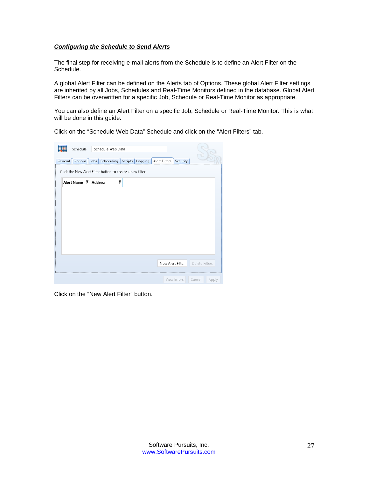## <span id="page-27-0"></span>*Configuring the Schedule to Send Alerts*

The final step for receiving e-mail alerts from the Schedule is to define an Alert Filter on the Schedule.

A global Alert Filter can be defined on the Alerts tab of Options. These global Alert Filter settings are inherited by all Jobs, Schedules and Real-Time Monitors defined in the database. Global Alert Filters can be overwritten for a specific Job, Schedule or Real-Time Monitor as appropriate.

You can also define an Alert Filter on a specific Job, Schedule or Real-Time Monitor. This is what will be done in this guide.

|  | Click on the "Schedule Web Data" Schedule and click on the "Alert Filters" tab. |
|--|---------------------------------------------------------------------------------|
|--|---------------------------------------------------------------------------------|

| Schedule<br>General<br>Options | Schedule Web Data<br>Jobs   Scheduling   Scripts   Logging   Alert Filters |   | Security         |                 |
|--------------------------------|----------------------------------------------------------------------------|---|------------------|-----------------|
|                                | Click the New Alert Filter button to create a new filter.                  |   |                  |                 |
| Alert Name <b>T</b> Address    |                                                                            | T |                  |                 |
|                                |                                                                            |   |                  |                 |
|                                |                                                                            |   |                  |                 |
|                                |                                                                            |   |                  |                 |
|                                |                                                                            |   |                  |                 |
|                                |                                                                            |   | New Alert Filter | Delete Filters  |
|                                |                                                                            |   | View Errors      | Cancel<br>Apply |

Click on the "New Alert Filter" button.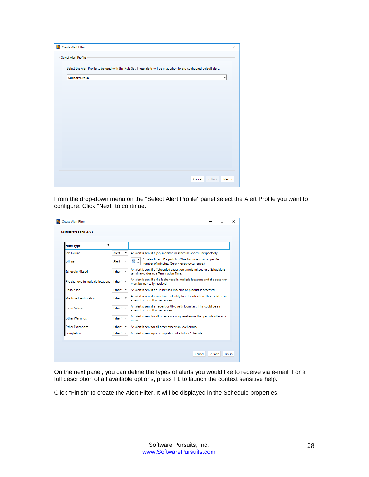| Create Alert Filter<br>$S_{2n}$                                                                                            |          | $\Box$ | X |
|----------------------------------------------------------------------------------------------------------------------------|----------|--------|---|
| <b>Select Alert Profile</b>                                                                                                |          |        |   |
| Select the Alert Profile to be used with this Rule Set. These alerts will be in addition to any configured default alerts. |          |        |   |
| <b>Support Group</b>                                                                                                       |          | ۰      |   |
|                                                                                                                            |          |        |   |
|                                                                                                                            |          |        |   |
|                                                                                                                            |          |        |   |
|                                                                                                                            |          |        |   |
|                                                                                                                            |          |        |   |
|                                                                                                                            |          |        |   |
|                                                                                                                            |          |        |   |
|                                                                                                                            |          |        |   |
|                                                                                                                            |          |        |   |
| Cancel                                                                                                                     | $<$ Back | Next   |   |

From the drop-down menu on the "Select Alert Profile" panel select the Alert Profile you want to configure. Click "Next" to continue.

| <b>Filter Type</b>                 | T                |                                                                                                                        |
|------------------------------------|------------------|------------------------------------------------------------------------------------------------------------------------|
| <b>Job Failure</b>                 | Alert            | An alert is sent if a job, monitor, or schedule aborts unexpectedly.                                                   |
| Offline                            | Alert            | An alert is sent if a path is offline for more than a specified<br>10<br>number of minutes. (Zero = every occurrence.) |
| <b>Schedule Missed</b>             | Inherit v        | An alert is sent if a Scheduled execution time is missed or a Schedule is<br>terminated due to a Termination Time.     |
| File changed in multiple locations | Inherit <b>v</b> | An alert is sent if a file is changed in multiple locations and the condition<br>must be manually resolved.            |
| Unlicensed                         | Inherit v        | An alert is sent if an unlicensed machine or product is accessed.                                                      |
| Machine Identification             | Inherit v        | An alert is sent if a machine's identity failed verification. This could be an<br>attempt at unauthorized access.      |
| Login Failure                      | Inherit *        | An alert is sent if an agent or UNC path login fails. This could be an<br>attempt at unauthorized access.              |
| <b>Other Warnings</b>              | Inherit v        | An alert is sent for all other a warning level errors that persists after any<br>retries.                              |
| <b>Other Exceptions</b>            | Inherit v        | An alert is sent for all other exception level errors.                                                                 |
| Completion                         | Inherit v        | An alert is sent upon completion of a Job or Schedule                                                                  |

On the next panel, you can define the types of alerts you would like to receive via e-mail. For a full description of all available options, press F1 to launch the context sensitive help.

Click "Finish" to create the Alert Filter. It will be displayed in the Schedule properties.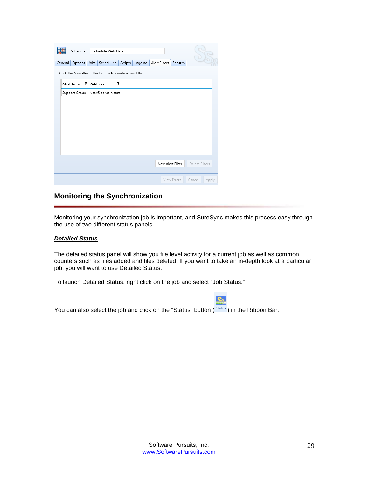| General | Schedule                      |                | Schedule Web Data<br>Options Jobs Scheduling              | Scripts | Logging | Alert Filters Security |                  |                |       |
|---------|-------------------------------|----------------|-----------------------------------------------------------|---------|---------|------------------------|------------------|----------------|-------|
|         |                               |                | Click the New Alert Filter button to create a new filter. |         |         |                        |                  |                |       |
|         | Alert Name T<br>Support Group | <b>Address</b> | user@domain.com                                           | T       |         |                        |                  |                |       |
|         |                               |                |                                                           |         |         |                        |                  |                |       |
|         |                               |                |                                                           |         |         |                        |                  |                |       |
|         |                               |                |                                                           |         |         |                        |                  |                |       |
|         |                               |                |                                                           |         |         |                        |                  |                |       |
|         |                               |                |                                                           |         |         |                        | New Alert Filter | Delete Filters |       |
|         |                               |                |                                                           |         |         |                        | View Errors      | Cancel         | Apply |

# <span id="page-29-0"></span>**Monitoring the Synchronization**

Monitoring your synchronization job is important, and SureSync makes this process easy through the use of two different status panels.

#### <span id="page-29-1"></span>*Detailed Status*

The detailed status panel will show you file level activity for a current job as well as common counters such as files added and files deleted. If you want to take an in-depth look at a particular job, you will want to use Detailed Status.

To launch Detailed Status, right click on the job and select "Job Status."



You can also select the job and click on the "Status" button  $($  Status) in the Ribbon Bar.